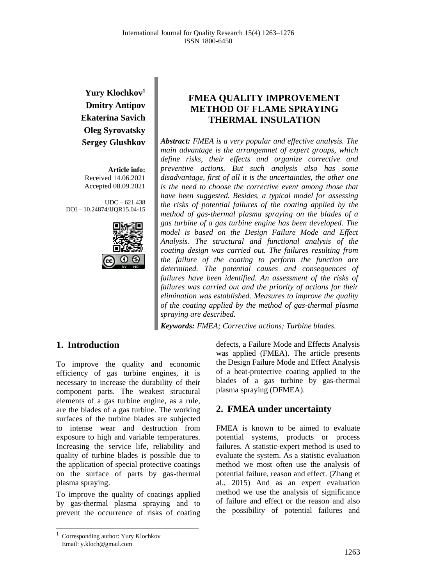# **Yury Klochkov<sup>1</sup> Dmitry Antipov Ekaterina Savich Oleg Syrovatsky Sergey Glushkov**

**Article info:** Received 14.06.2021 Accepted 08.09.2021

UDC – 621.438 DOI – 10.24874/IJQR15.04-15



## **FMEA QUALITY IMPROVEMENT METHOD OF FLAME SPRAYING THERMAL INSULATION**

*Abstract: FMEA is a very popular and effective analysis. The main advantage is the arrangemnet of expert groups, which define risks, their effects and organize corrective and preventive actions. But such analysis also has some disadvantage, first of all it is the uncertainties, the other one is the need to choose the corrective event among those that have been suggested. Besides, a typical model for assessing the risks of potential failures of the coating applied by the method of gas-thermal plasma spraying on the blades of a gas turbine of a gas turbine engine has been developed. The model is based on the Design Failure Mode and Effect Analysis. The structural and functional analysis of the coating design was carried out. The failures resulting from the failure of the coating to perform the function are determined. The potential causes and consequences of failures have been identified. An assessment of the risks of failures was carried out and the priority of actions for their elimination was established. Measures to improve the quality of the coating applied by the method of gas-thermal plasma spraying are described.*

*Keywords: FMEA; Corrective actions; Turbine blades.*

# **1. Introduction**

To improve the quality and economic efficiency of gas turbine engines, it is necessary to increase the durability of their component parts. The weakest structural elements of a gas turbine engine, as a rule, are the blades of a gas turbine. The working surfaces of the turbine blades are subjected to intense wear and destruction from exposure to high and variable temperatures. Increasing the service life, reliability and quality of turbine blades is possible due to the application of special protective coatings on the surface of parts by gas-thermal plasma spraying.

To improve the quality of coatings applied by gas-thermal plasma spraying and to prevent the occurrence of risks of coating defects, a Failure Mode and Effects Analysis was applied (FMEA). The article presents the Design Failure Mode and Effect Analysis of a heat-protective coating applied to the blades of a gas turbine by gas-thermal plasma spraying (DFMEA).

# **2. FMEA under uncertainty**

FMEA is known to be aimed to evaluate potential systems, products or process failures. A statistic-expert method is used to evaluate the system. As a statistic evaluation method we most often use the analysis of potential failure, reason and effect. (Zhang et al., 2015) And as an expert evaluation method we use the analysis of significance of failure and effect or the reason and also the possibility of potential failures and

<sup>1</sup> Corresponding author: Yury Klochkov Email: y.kloch@gmail.com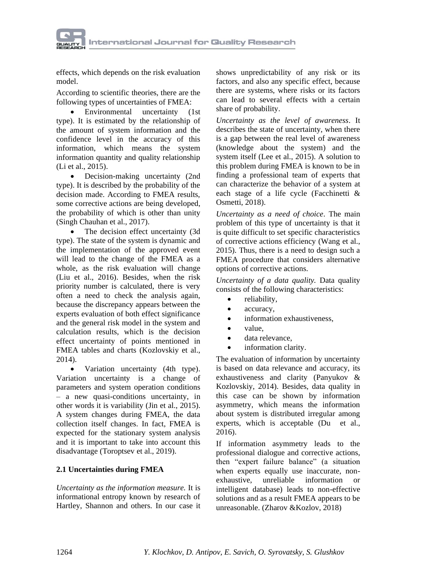

effects, which depends on the risk evaluation model.

According to scientific theories, there are the following types of uncertainties of FMEA:

• Environmental uncertainty (1st type). It is estimated by the relationship of the amount of system information and the confidence level in the accuracy of this information, which means the system information quantity and quality relationship (Li et al., 2015).

Decision-making uncertainty (2nd type). It is described by the probability of the decision made. According to FMEA results, some corrective actions are being developed, the probability of which is other than unity (Singh Chauhan et al., 2017).

• The decision effect uncertainty (3d) type). The state of the system is dynamic and the implementation of the approved event will lead to the change of the FMEA as a whole, as the risk evaluation will change (Liu et al., 2016). Besides, when the risk priority number is calculated, there is very often a need to check the analysis again, because the discrepancy appears between the experts evaluation of both effect significance and the general risk model in the system and calculation results, which is the decision effect uncertainty of points mentioned in FMEA tables and charts (Kozlovskiy et al., 2014).

• Variation uncertainty (4th type). Variation uncertainty is a change of parameters and system operation conditions – a new quasi-conditions uncertainty, in other words it is variability (Jin et al., 2015). A system changes during FMEA, the data collection itself changes. In fact, FMEA is expected for the stationary system analysis and it is important to take into account this disadvantage (Toroptsev et al., 2019).

## **2.1 Uncertainties during FMEA**

*Uncertainty as the information measure.* It is informational entropy known by research of Hartley, Shannon and others. In our case it

shows unpredictability of any risk or its factors, and also any specific effect, because there are systems, where risks or its factors can lead to several effects with a certain share of probability.

*Uncertainty as the level of awareness*. It describes the state of uncertainty, when there is a gap between the real level of awareness (knowledge about the system) and the system itself (Lee et al., 2015). A solution to this problem during FMEA is known to be in finding a professional team of experts that can characterize the behavior of a system at each stage of a life cycle (Facchinetti & Osmetti, 2018).

*Uncertainty as a need of choice*. The main problem of this type of uncertainty is that it is quite difficult to set specific characteristics of corrective actions efficiency (Wang et al., 2015). Thus, there is a need to design such a FMEA procedure that considers alternative options of corrective actions.

*Uncertainty of a data quality.* Data quality consists of the following characteristics:

- reliability,
- accuracy,
- information exhaustiveness,
- value,
- data relevance.
- information clarity.

The evaluation of information by uncertainty is based on data relevance and accuracy, its exhaustiveness and clarity (Panyukov & Kozlovskiy, 2014). Besides, data quality in this case can be shown by information asymmetry, which means the information about system is distributed irregular among experts, which is acceptable (Du et al., 2016).

If information asymmetry leads to the professional dialogue and corrective actions, then "expert failure balance" (a situation when experts equally use inaccurate, nonexhaustive, unreliable information or intelligent database) leads to non-effective solutions and as a result FMEA appears to be unreasonable. (Zharov &Kozlov, 2018)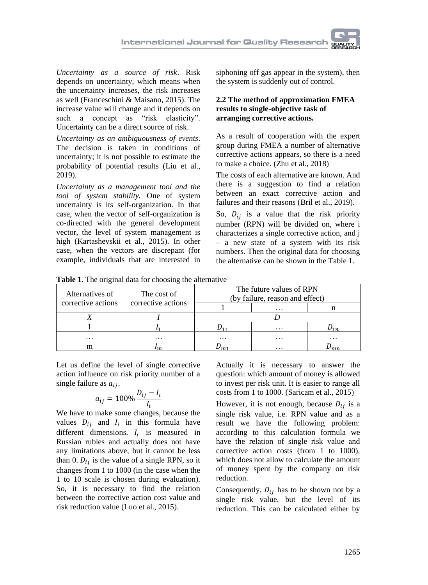*Uncertainty as a source of risk*. Risk depends on uncertainty, which means when the uncertainty increases, the risk increases as well (Franceschini & Maisano, 2015). The increase value will change and it depends on such a concept as "risk elasticity". Uncertainty can be a direct source of risk.

*Uncertainty as an ambiguousness of events*. The decision is taken in conditions of uncertainty; it is not possible to estimate the probability of potential results (Liu et al., 2019).

*Uncertainty as a management tool and the tool of system stability.* One of system uncertainty is its self-organization. In that case, when the vector of self-organization is co-directed with the general development vector, the level of system management is high (Kartashevskii et al., 2015). In other case, when the vectors are discrepant (for example, individuals that are interested in siphoning off gas appear in the system), then the system is suddenly out of control.

## **2.2 The method of approximation FMEA results to single-objective task of arranging corrective actions.**

As a result of cooperation with the expert group during FMEA a number of alternative corrective actions appears, so there is a need to make a choice. (Zhu et al., 2018)

The costs of each alternative are known. And there is a suggestion to find a relation between an exact corrective action and failures and their reasons (Bril et al., 2019).

So,  $D_{ij}$  is a value that the risk priority number (RPN) will be divided on, where i characterizes a single corrective action, and j – a new state of a system with its risk numbers. Then the original data for choosing the alternative can be shown in the Table 1.

**Table 1.** The original data for choosing the alternative

| Alternatives of<br>corrective actions | The cost of<br>corrective actions | The future values of RPN<br>(by failure, reason and effect) |          |                |  |  |  |  |
|---------------------------------------|-----------------------------------|-------------------------------------------------------------|----------|----------------|--|--|--|--|
|                                       |                                   |                                                             | $\cdots$ |                |  |  |  |  |
|                                       |                                   |                                                             |          |                |  |  |  |  |
|                                       |                                   |                                                             | $\cdots$ |                |  |  |  |  |
| $\cdots$                              | $\cdots$                          | $\cdots$                                                    | $\cdots$ | $\cdots$       |  |  |  |  |
| m                                     |                                   |                                                             | $\cdots$ | m <sub>r</sub> |  |  |  |  |

Let us define the level of single corrective action influence on risk priority number of a single failure as  $a_{ii}$ .

$$
a_{ij}=100\%\frac{D_{ij}-I_i}{I_i}
$$

We have to make some changes, because the values  $D_{ij}$  and  $I_i$  in this formula have different dimensions.  $I_i$  is measured in Russian rubles and actually does not have any limitations above, but it cannot be less than 0.  $D_{ij}$  is the value of a single RPN, so it changes from 1 to 1000 (in the case when the 1 to 10 scale is chosen during evaluation). So, it is necessary to find the relation between the corrective action cost value and risk reduction value (Luo et al., 2015).

Actually it is necessary to answer the question: which amount of money is allowed to invest per risk unit. It is easier to range all costs from 1 to 1000. (Saricam et al., 2015)

However, it is not enough, because  $D_{ij}$  is a single risk value, i.e. RPN value and as a result we have the following problem: according to this calculation formula we have the relation of single risk value and corrective action costs (from 1 to 1000), which does not allow to calculate the amount of money spent by the company on risk reduction.

Consequently,  $D_{ij}$  has to be shown not by a single risk value, but the level of its reduction. This can be calculated either by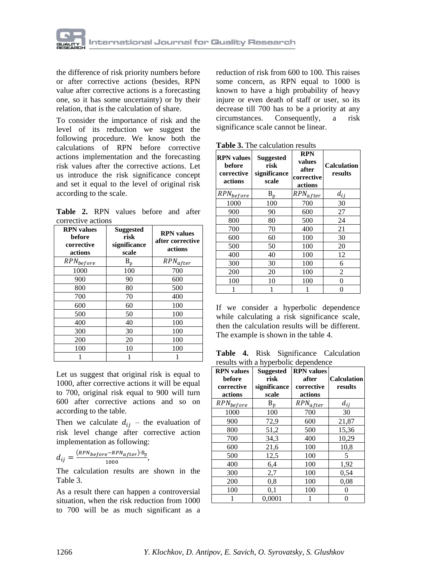

the difference of risk priority numbers before or after corrective actions (besides, RPN value after corrective actions is a forecasting one, so it has some uncertainty) or by their relation, that is the calculation of share.

To consider the importance of risk and the level of its reduction we suggest the following procedure. We know both the calculations of RPN before corrective actions implementation and the forecasting risk values after the corrective actions. Let us introduce the risk significance concept and set it equal to the level of original risk according to the scale.

**Table 2.** RPN values before and after corrective actions

| <b>RPN</b> values<br>before<br>corrective<br>actions | <b>Suggested</b><br>risk<br>significance<br>scale | <b>RPN</b> values<br>after corrective<br>actions |
|------------------------------------------------------|---------------------------------------------------|--------------------------------------------------|
| $RPN_{before}$                                       | $B_{p}$                                           | $RPN_{after}$                                    |
| 1000                                                 | 100                                               | 700                                              |
| 900                                                  | 90                                                | 600                                              |
| 800                                                  | 80                                                | 500                                              |
| 700                                                  | 70                                                | 400                                              |
| 600                                                  | 60                                                | 100                                              |
| 500                                                  | 50                                                | 100                                              |
| 400                                                  | 40                                                | 100                                              |
| 300                                                  | 30                                                | 100                                              |
| 200                                                  | 20                                                | 100                                              |
| 100                                                  | 10                                                | 100                                              |
|                                                      |                                                   |                                                  |

Let us suggest that original risk is equal to 1000, after corrective actions it will be equal to 700, original risk equal to 900 will turn 600 after corrective actions and so on according to the table.

Then we calculate  $d_{ij}$  – the evaluation of risk level change after corrective action implementation as following:

$$
d_{ij} = \frac{(RPN_{before} - RPN_{after}) \cdot B_p}{1000},
$$

The calculation results are shown in the Table 3.

As a result there can happen a controversial situation, when the risk reduction from 1000 to 700 will be as much significant as a

reduction of risk from 600 to 100. This raises some concern, as RPN equal to 1000 is known to have a high probability of heavy injure or even death of staff or user, so its decrease till 700 has to be a priority at any circumstances. Consequently, a risk significance scale cannot be linear.

**Table 3.** The calculation results

| <b>RPN</b> values<br>before<br>corrective<br>actions | <b>Suggested</b><br>risk<br>significance<br>scale | <b>RPN</b><br>values<br>after<br>corrective<br>actions | <b>Calculation</b><br>results |
|------------------------------------------------------|---------------------------------------------------|--------------------------------------------------------|-------------------------------|
| $RPN_{before}$                                       | $\rm B_p$                                         | $RPN_{after}$                                          | $d_{ij}$                      |
| 1000                                                 | 100                                               | 700                                                    | 30                            |
| 900                                                  | 90                                                | 600                                                    | 27                            |
| 800                                                  | 80                                                | 500                                                    | 24                            |
| 700                                                  | 70                                                | 400                                                    | 21                            |
| 600                                                  | 60                                                | 100                                                    | 30                            |
| 500                                                  | 50                                                | 100                                                    | 20                            |
| 400                                                  | 40                                                | 100                                                    | 12                            |
| 300                                                  | 30                                                | 100                                                    | 6                             |
| 200                                                  | 20                                                | 100                                                    | 2                             |
| 100                                                  | 10                                                | 100                                                    | 0                             |
|                                                      |                                                   |                                                        | 0                             |

If we consider a hyperbolic dependence while calculating a risk significance scale, then the calculation results will be different. The example is shown in the table 4.

**Table 4.** Risk Significance Calculation results with a hyperbolic dependence

| <b>RPN</b> values | <b>Suggested</b> | <b>RPN</b> values |                    |
|-------------------|------------------|-------------------|--------------------|
| before            | risk             | after             | <b>Calculation</b> |
| corrective        | significance     | corrective        | results            |
| actions           | scale            | actions           |                    |
| $RPN_{before}$    | $B_{p}$          | $RPN_{after}$     | $d_{ij}$           |
| 1000              | 100              | 700               | 30                 |
| 900               | 72,9             | 600               | 21,87              |
| 800               | 51,2             | 500               | 15,36              |
| 700               | 34,3             | 400               | 10,29              |
| 600               | 21,6             | 100               | 10,8               |
| 500               | 12,5             | 100               | 5                  |
| 400               | 6,4              | 100               | 1,92               |
| 300               | 2,7              | 100               | 0.54               |
| 200               | 0,8              | 100               | 0.08               |
| 100               | 0,1              | 100               | 0                  |
|                   | 0,0001           |                   | 0                  |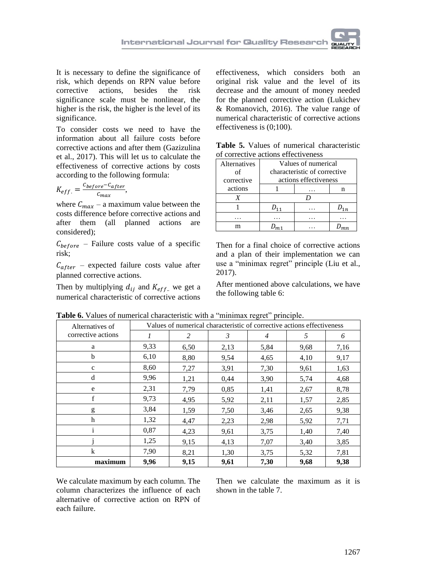

It is necessary to define the significance of risk, which depends on RPN value before corrective actions, besides the risk significance scale must be nonlinear, the higher is the risk, the higher is the level of its significance.

To consider costs we need to have the information about all failure costs before corrective actions and after them (Gazizulina et al., 2017). This will let us to calculate the effectiveness of corrective actions by costs according to the following formula:

$$
K_{eff.} = \frac{c_{before} - c_{after}}{c_{max}},
$$

where  $C_{max}$  – a maximum value between the costs difference before corrective actions and after them (all planned actions are considered);

 $C_{before}$  – Failure costs value of a specific risk;

 $C_{after}$  – expected failure costs value after planned corrective actions.

Then by multiplying  $d_{ij}$  and  $K_{eff}$  we get a numerical characteristic of corrective actions effectiveness, which considers both an original risk value and the level of its decrease and the amount of money needed for the planned corrective action (Lukichev & Romanovich, 2016). The value range of numerical characteristic of corrective actions effectiveness is (0;100).

|  |  |                                     | <b>Table 5.</b> Values of numerical characteristic |
|--|--|-------------------------------------|----------------------------------------------------|
|  |  | of corrective actions effectiveness |                                                    |

| Alternatives | Values of numerical          |  |   |  |  |  |  |  |  |  |
|--------------|------------------------------|--|---|--|--|--|--|--|--|--|
| οf           | characteristic of corrective |  |   |  |  |  |  |  |  |  |
| corrective   | actions effectiveness        |  |   |  |  |  |  |  |  |  |
| actions      |                              |  | n |  |  |  |  |  |  |  |
|              |                              |  |   |  |  |  |  |  |  |  |
|              |                              |  |   |  |  |  |  |  |  |  |
|              |                              |  |   |  |  |  |  |  |  |  |
|              |                              |  |   |  |  |  |  |  |  |  |

Then for a final choice of corrective actions and a plan of their implementation we can use a "minimax regret" principle (Liu et al., 2017).

After mentioned above calculations, we have the following table 6:

| Alternatives of    | Values of numerical characteristic of corrective actions effectiveness |      |                |                |      |      |  |  |  |  |  |
|--------------------|------------------------------------------------------------------------|------|----------------|----------------|------|------|--|--|--|--|--|
| corrective actions | 1                                                                      | 2    | $\mathfrak{Z}$ | $\overline{4}$ | 5    | 6    |  |  |  |  |  |
| a                  | 9.33                                                                   | 6,50 | 2,13           | 5,84           | 9,68 | 7,16 |  |  |  |  |  |
| b                  | 6,10                                                                   | 8,80 | 9,54           | 4,65           | 4,10 | 9,17 |  |  |  |  |  |
| $\mathbf c$        | 8,60                                                                   | 7,27 | 3,91           | 7,30           | 9,61 | 1,63 |  |  |  |  |  |
| d                  | 9,96                                                                   | 1,21 | 0,44           | 3,90           | 5,74 |      |  |  |  |  |  |
| e                  | 2,31                                                                   | 7,79 | 0,85           | 1,41           | 2,67 | 8,78 |  |  |  |  |  |
| f                  | 9,73                                                                   | 4,95 | 5,92           | 2,11           | 1,57 | 2,85 |  |  |  |  |  |
| g                  | 3,84                                                                   | 1.59 | 7,50           | 3.46           | 2,65 | 9,38 |  |  |  |  |  |
| h                  | 1,32                                                                   | 4,47 | 2,23           | 2,98           | 5,92 | 7,71 |  |  |  |  |  |
| 1                  | 0,87                                                                   | 4,23 | 9,61           | 3,75           | 1,40 | 7,40 |  |  |  |  |  |
|                    | 1,25                                                                   | 9,15 | 4,13           | 7,07           | 3,40 | 3,85 |  |  |  |  |  |
| $\bf k$            | 7,90                                                                   | 8,21 | 1,30           | 3,75           | 5,32 | 7,81 |  |  |  |  |  |
| maximum            | 9,96                                                                   | 9,15 | 9,61           | 7,30<br>9,68   |      | 9,38 |  |  |  |  |  |

**Table 6.** Values of numerical characteristic with a "minimax regret" principle.

We calculate maximum by each column. The column characterizes the influence of each alternative of corrective action on RPN of each failure.

Then we calculate the maximum as it is shown in the table 7.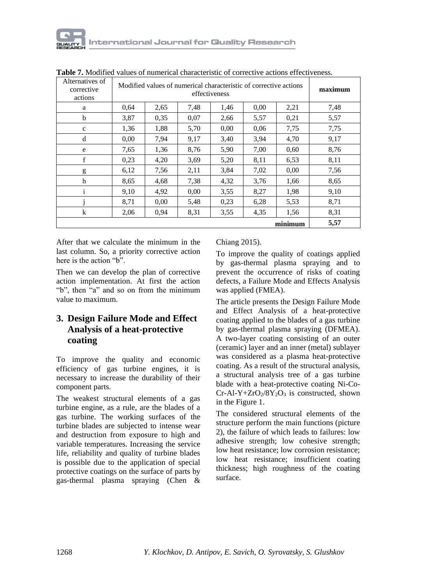| Alternatives of<br>corrective<br>actions |      | Modified values of numerical characteristic of corrective actions<br>effectiveness |      |      |      |         |      |  |  |  |  |  |  |  |
|------------------------------------------|------|------------------------------------------------------------------------------------|------|------|------|---------|------|--|--|--|--|--|--|--|
| a                                        | 0.64 | 2,65                                                                               | 2,21 | 7,48 |      |         |      |  |  |  |  |  |  |  |
| b                                        | 3,87 | 0.35                                                                               | 0,07 | 2,66 | 5,57 | 0,21    | 5,57 |  |  |  |  |  |  |  |
| $\mathbf c$                              | 1,36 | 1,88                                                                               | 5,70 | 0.00 | 0.06 | 7,75    | 7,75 |  |  |  |  |  |  |  |
| d                                        | 0,00 | 7,94                                                                               | 9,17 | 3.40 | 3.94 | 4,70    | 9,17 |  |  |  |  |  |  |  |
| e                                        | 7,65 | 1,36                                                                               | 8,76 | 5,90 | 7,00 | 0.60    | 8,76 |  |  |  |  |  |  |  |
| f                                        | 0,23 | 4,20                                                                               | 3,69 | 5,20 | 8,11 | 6,53    | 8,11 |  |  |  |  |  |  |  |
| g                                        | 6,12 | 7,56                                                                               | 2,11 | 3,84 | 7,02 | 0.00    | 7,56 |  |  |  |  |  |  |  |
| h                                        | 8,65 | 4,68                                                                               | 7,38 | 4,32 | 3.76 | 1,66    | 8,65 |  |  |  |  |  |  |  |
| $\mathbf{i}$                             | 9,10 | 4,92                                                                               | 0,00 | 3,55 | 8,27 | 1,98    | 9,10 |  |  |  |  |  |  |  |
|                                          | 8,71 | 0,00                                                                               | 5,48 | 0,23 | 6,28 | 5,53    | 8,71 |  |  |  |  |  |  |  |
| $\bf k$                                  | 2,06 | 0,94                                                                               | 8,31 | 3,55 | 4,35 | 1,56    | 8,31 |  |  |  |  |  |  |  |
|                                          |      |                                                                                    |      |      |      | minimum |      |  |  |  |  |  |  |  |

**Table 7.** Modified values of numerical characteristic of corrective actions effectiveness.

After that we calculate the minimum in the last column. So, a priority corrective action here is the action "b".

Then we can develop the plan of corrective action implementation. At first the action "b", then "a" and so on from the minimum value to maximum.

# **3. Design Failure Mode and Effect Analysis of a heat-protective coating**

To improve the quality and economic efficiency of gas turbine engines, it is necessary to increase the durability of their component parts.

The weakest structural elements of a gas turbine engine, as a rule, are the blades of a gas turbine. The working surfaces of the turbine blades are subjected to intense wear and destruction from exposure to high and variable temperatures. Increasing the service life, reliability and quality of turbine blades is possible due to the application of special protective coatings on the surface of parts by gas-thermal plasma spraying (Chen &

## Chiang 2015).

To improve the quality of coatings applied by gas-thermal plasma spraying and to prevent the occurrence of risks of coating defects, a Failure Mode and Effects Analysis was applied (FMEA).

The article presents the Design Failure Mode and Effect Analysis of a heat-protective coating applied to the blades of a gas turbine by gas-thermal plasma spraying (DFMEA). A two-layer coating consisting of an outer (ceramic) layer and an inner (metal) sublayer was considered as a plasma heat-protective coating. As a result of the structural analysis, a structural analysis tree of a gas turbine blade with a heat-protective coating Ni-Co- $Cr-AI-Y+ZrO<sub>2</sub>/8Y<sub>2</sub>O<sub>3</sub>$  is constructed, shown in the Figure 1.

The considered structural elements of the structure perform the main functions (picture 2), the failure of which leads to failures: low adhesive strength; low cohesive strength; low heat resistance; low corrosion resistance; low heat resistance; insufficient coating thickness; high roughness of the coating surface.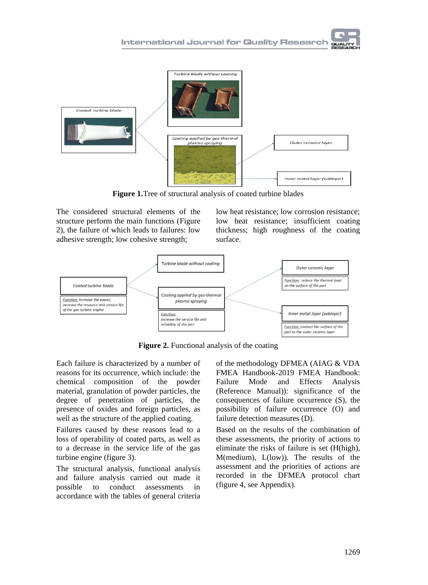

**Figure 1.**Tree of structural analysis of coated turbine blades

The considered structural elements of the structure perform the main functions (Figure 2), the failure of which leads to failures: low adhesive strength; low cohesive strength;

low heat resistance; low corrosion resistance; low heat resistance; insufficient coating thickness; high roughness of the coating surface.



**Figure 2.** Functional analysis of the coating

Each failure is characterized by a number of reasons for its occurrence, which include: the chemical composition of the powder material, granulation of powder particles, the degree of penetration of particles, the presence of oxides and foreign particles, as well as the structure of the applied coating.

Failures caused by these reasons lead to a loss of operability of coated parts, as well as to a decrease in the service life of the gas turbine engine (figure 3).

The structural analysis, functional analysis and failure analysis carried out made it possible to conduct assessments in accordance with the tables of general criteria

of the methodology DFMEA (AIAG & VDA FMEA Handbook-2019 FMEA Handbook: Failure Mode and Effects Analysis (Reference Manual)): significance of the consequences of failure occurrence (S), the possibility of failure occurrence (O) and failure detection measures (D).

Based on the results of the combination of these assessments, the priority of actions to eliminate the risks of failure is set (H(high), M(medium), L(low)). The results of the assessment and the priorities of actions are recorded in the DFMEA protocol chart (figure 4, see Appendix).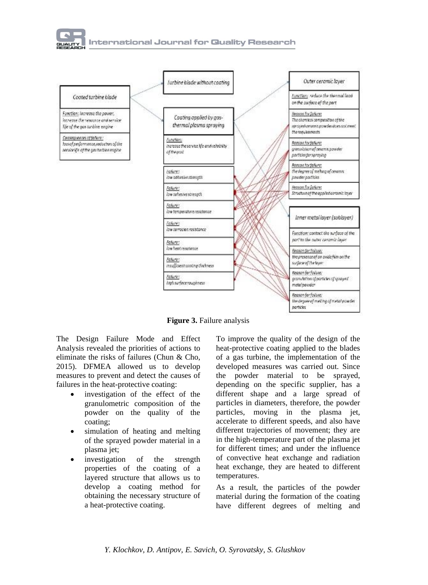



**Figure 3.** Failure analysis

The Design Failure Mode and Effect Analysis revealed the priorities of actions to eliminate the risks of failures (Chun & Cho, 2015). DFMEA allowed us to develop measures to prevent and detect the causes of failures in the heat-protective coating:

- investigation of the effect of the granulometric composition of the powder on the quality of the coating;
- simulation of heating and melting of the sprayed powder material in a plasma jet;
- investigation of the strength properties of the coating of a layered structure that allows us to develop a coating method for obtaining the necessary structure of a heat-protective coating.

To improve the quality of the design of the heat-protective coating applied to the blades of a gas turbine, the implementation of the developed measures was carried out. Since the powder material to be sprayed, depending on the specific supplier, has a different shape and a large spread of particles in diameters, therefore, the powder particles, moving in the plasma jet, accelerate to different speeds, and also have different trajectories of movement; they are in the high-temperature part of the plasma jet for different times; and under the influence of convective heat exchange and radiation heat exchange, they are heated to different temperatures.

As a result, the particles of the powder material during the formation of the coating have different degrees of melting and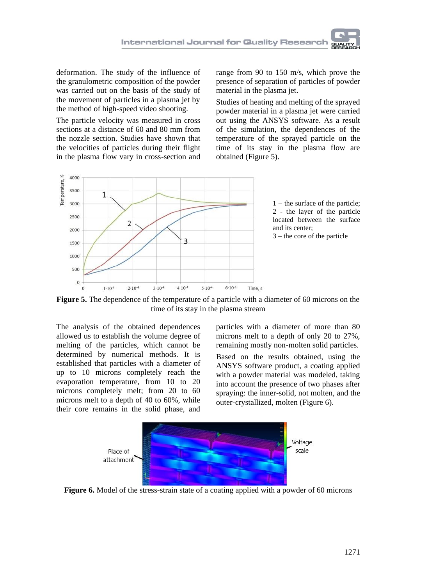deformation. The study of the influence of the granulometric composition of the powder was carried out on the basis of the study of the movement of particles in a plasma jet by the method of high-speed video shooting.

The particle velocity was measured in cross sections at a distance of 60 and 80 mm from the nozzle section. Studies have shown that the velocities of particles during their flight in the plasma flow vary in cross-section and

range from 90 to 150 m/s, which prove the presence of separation of particles of powder material in the plasma jet.

Studies of heating and melting of the sprayed powder material in a plasma jet were carried out using the ANSYS software. As a result of the simulation, the dependences of the temperature of the sprayed particle on the time of its stay in the plasma flow are obtained (Figure 5).



1 – the surface of the particle; 2 - the layer of the particle located between the surface and its center;

3 – the core of the particle



The analysis of the obtained dependences allowed us to establish the volume degree of melting of the particles, which cannot be determined by numerical methods. It is established that particles with a diameter of up to 10 microns completely reach the evaporation temperature, from 10 to 20 microns completely melt; from 20 to 60 microns melt to a depth of 40 to 60%, while their core remains in the solid phase, and

particles with a diameter of more than 80 microns melt to a depth of only 20 to 27%, remaining mostly non-molten solid particles.

Based on the results obtained, using the ANSYS software product, a coating applied with a powder material was modeled, taking into account the presence of two phases after spraying: the inner-solid, not molten, and the outer-crystallized, molten (Figure 6).



**Figure 6.** Model of the stress-strain state of a coating applied with a powder of 60 microns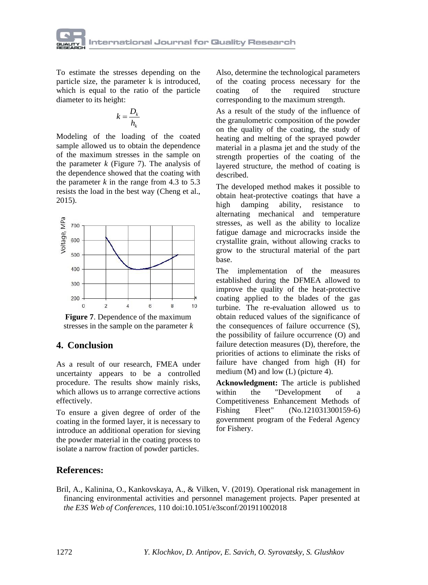

To estimate the stresses depending on the particle size, the parameter k is introduced, which is equal to the ratio of the particle diameter to its height:

$$
k = \frac{D_k}{h_k}
$$

Modeling of the loading of the coated sample allowed us to obtain the dependence of the maximum stresses in the sample on the parameter  $k$  (Figure 7). The analysis of the dependence showed that the coating with the parameter  $k$  in the range from 4.3 to 5.3 resists the load in the best way (Cheng et al., 2015).



**Figure 7**. Dependence of the maximum stresses in the sample on the parameter *k*

## **4. Conclusion**

As a result of our research, FMEA under uncertainty appears to be a controlled procedure. The results show mainly risks, which allows us to arrange corrective actions effectively.

To ensure a given degree of order of the coating in the formed layer, it is necessary to introduce an additional operation for sieving the powder material in the coating process to isolate a narrow fraction of powder particles.

Also, determine the technological parameters of the coating process necessary for the coating of the required structure corresponding to the maximum strength.

As a result of the study of the influence of the granulometric composition of the powder on the quality of the coating, the study of heating and melting of the sprayed powder material in a plasma jet and the study of the strength properties of the coating of the layered structure, the method of coating is described.

The developed method makes it possible to obtain heat-protective coatings that have a high damping ability, resistance to alternating mechanical and temperature stresses, as well as the ability to localize fatigue damage and microcracks inside the crystallite grain, without allowing cracks to grow to the structural material of the part base.

The implementation of the measures established during the DFMEA allowed to improve the quality of the heat-protective coating applied to the blades of the gas turbine. The re-evaluation allowed us to obtain reduced values of the significance of the consequences of failure occurrence (S), the possibility of failure occurrence (O) and failure detection measures (D), therefore, the priorities of actions to eliminate the risks of failure have changed from high (H) for medium (M) and low (L) (picture 4).

**Acknowledgment:** The article is published within the "Development of a Competitiveness Enhancement Methods of Fishing Fleet" (No.121031300159-6) government program of the Federal Agency for Fishery.

## **References:**

Bril, A., Kalinina, O., Kankovskaya, A., & Vilken, V. (2019). Operational risk management in financing environmental activities and personnel management projects. Paper presented at *the E3S Web of Conferences*, 110 doi:10.1051/e3sconf/201911002018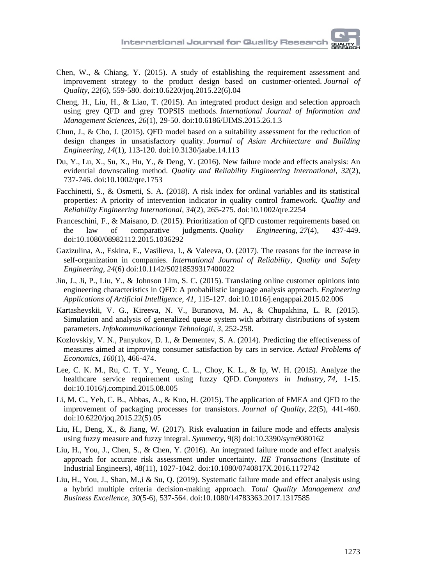- Chen, W., & Chiang, Y. (2015). A study of establishing the requirement assessment and improvement strategy to the product design based on customer-oriented. *Journal of Quality, 22*(6), 559-580. doi:10.6220/joq.2015.22(6).04
- Cheng, H., Liu, H., & Liao, T. (2015). An integrated product design and selection approach using grey QFD and grey TOPSIS methods. *International Journal of Information and Management Sciences, 26*(1), 29-50. doi:10.6186/IJIMS.2015.26.1.3
- Chun, J., & Cho, J. (2015). QFD model based on a suitability assessment for the reduction of design changes in unsatisfactory quality. *Journal of Asian Architecture and Building Engineering, 14*(1), 113-120. doi:10.3130/jaabe.14.113
- Du, Y., Lu, X., Su, X., Hu, Y., & Deng, Y. (2016). New failure mode and effects analysis: An evidential downscaling method. *Quality and Reliability Engineering International*, *32*(2), 737-746. doi:10.1002/qre.1753
- Facchinetti, S., & Osmetti, S. A. (2018). A risk index for ordinal variables and its statistical properties: A priority of intervention indicator in quality control framework. *Quality and Reliability Engineering International*, *34*(2), 265-275. doi:10.1002/qre.2254
- Franceschini, F., & Maisano, D. (2015). Prioritization of QFD customer requirements based on the law of comparative judgments. *Quality Engineering, 27*(4), 437-449. doi:10.1080/08982112.2015.1036292
- Gazizulina, A., Eskina, E., Vasilieva, I., & Valeeva, O. (2017). The reasons for the increase in self-organization in companies. *International Journal of Reliability, Quality and Safety Engineering, 24*(6) doi:10.1142/S0218539317400022
- Jin, J., Ji, P., Liu, Y., & Johnson Lim, S. C. (2015). Translating online customer opinions into engineering characteristics in QFD: A probabilistic language analysis approach. *Engineering Applications of Artificial Intelligence, 41*, 115-127. doi:10.1016/j.engappai.2015.02.006
- Kartashevskii, V. G., Kireeva, N. V., Buranova, M. A., & Chupakhina, L. R. (2015). Simulation and analysis of generalized queue system with arbitrary distributions of system parameters. *Infokommunikacionnye Tehnologii, 3*, 252-258.
- Kozlovskiy, V. N., Panyukov, D. I., & Dementev, S. A. (2014). Predicting the effectiveness of measures aimed at improving consumer satisfaction by cars in service. *Actual Problems of Economics*, *160*(1), 466-474.
- Lee, C. K. M., Ru, C. T. Y., Yeung, C. L., Choy, K. L., & Ip, W. H. (2015). Analyze the healthcare service requirement using fuzzy QFD. *Computers in Industry, 74*, 1-15. doi:10.1016/j.compind.2015.08.005
- Li, M. C., Yeh, C. B., Abbas, A., & Kuo, H. (2015). The application of FMEA and QFD to the improvement of packaging processes for transistors. *Journal of Quality, 22*(5), 441-460. doi:10.6220/joq.2015.22(5).05
- Liu, H., Deng, X., & Jiang, W. (2017). Risk evaluation in failure mode and effects analysis using fuzzy measure and fuzzy integral. *Symmetry*, 9(8) doi:10.3390/sym9080162
- Liu, H., You, J., Chen, S., & Chen, Y. (2016). An integrated failure mode and effect analysis approach for accurate risk assessment under uncertainty. *IIE Transactions* (Institute of Industrial Engineers), 48(11), 1027-1042. doi:10.1080/0740817X.2016.1172742
- Liu, H., You, J., Shan, M.,i & Su, Q. (2019). Systematic failure mode and effect analysis using a hybrid multiple criteria decision-making approach. *Total Quality Management and Business Excellence*, *30*(5-6), 537-564. doi:10.1080/14783363.2017.1317585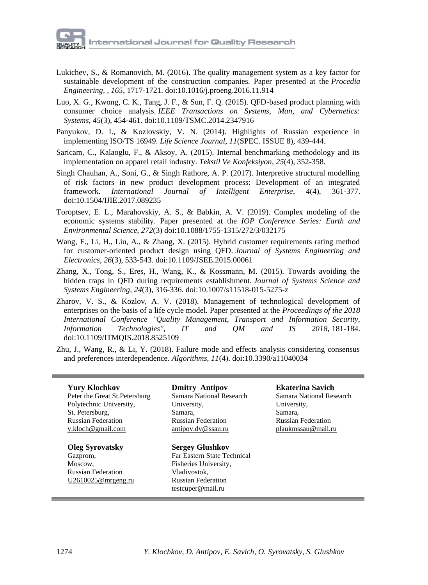- Lukichev, S., & Romanovich, M. (2016). The quality management system as a key factor for sustainable development of the construction companies. Paper presented at the *Procedia Engineering, , 165*, 1717-1721. doi:10.1016/j.proeng.2016.11.914
- Luo, X. G., Kwong, C. K., Tang, J. F., & Sun, F. Q. (2015). QFD-based product planning with consumer choice analysis. *IEEE Transactions on Systems, Man, and Cybernetics: Systems, 45*(3), 454-461. doi:10.1109/TSMC.2014.2347916
- Panyukov, D. I., & Kozlovskiy, V. N. (2014). Highlights of Russian experience in implementing ISO/TS 16949. *Life Science Journal*, *11*(SPEC. ISSUE 8), 439-444.
- Saricam, C., Kalaoglu, F., & Aksoy, A. (2015). Internal benchmarking methodology and its implementation on apparel retail industry. *Tekstil Ve Konfeksiyon, 25*(4), 352-358.
- Singh Chauhan, A., Soni, G., & Singh Rathore, A. P. (2017). Interpretive structural modelling of risk factors in new product development process: Development of an integrated framework. *International Journal of Intelligent Enterprise*, *4*(4), 361-377. doi:10.1504/IJIE.2017.089235
- Toroptsev, E. L., Marahovskiy, A. S., & Babkin, A. V. (2019). Complex modeling of the economic systems stability. Paper presented at the *IOP Conference Series: Earth and Environmental Science*, *272*(3) doi:10.1088/1755-1315/272/3/032175
- Wang, F., Li, H., Liu, A., & Zhang, X. (2015). Hybrid customer requirements rating method for customer-oriented product design using QFD. *Journal of Systems Engineering and Electronics, 26*(3), 533-543. doi:10.1109/JSEE.2015.00061
- Zhang, X., Tong, S., Eres, H., Wang, K., & Kossmann, M. (2015). Towards avoiding the hidden traps in QFD during requirements establishment. *Journal of Systems Science and Systems Engineering, 24*(3), 316-336. doi:10.1007/s11518-015-5275-z
- Zharov, V. S., & Kozlov, A. V. (2018). Management of technological development of enterprises on the basis of a life cycle model. Paper presented at the *Proceedings of the 2018 International Conference ''Quality Management, Transport and Information Security, Information Technologies'', IT and QM and IS 2018,* 181-184. doi:10.1109/ITMQIS.2018.8525109
- Zhu, J., Wang, R., & Li, Y. (2018). Failure mode and effects analysis considering consensus and preferences interdependence. *Algorithms*, *11*(4). doi:10.3390/a11040034

## **Yury Klochkov** Peter the Great St.Petersburg Polytechnic University,

St. Petersburg, Russian Federation y.kloch@gmail.com

## **Oleg Syrovatsky**

[Gazprom,](https://www.scopus.com/affil/profile.uri?afid=60022227) Moscow, Russian Federation [U2610025@mrgeng.ru](mailto:U2610025@mrgeng.ru)

#### **Dmitry Antipov** [Samara National Research](https://www.scopus.com/affil/profile.uri?afid=60011415)  [University,](https://www.scopus.com/affil/profile.uri?afid=60011415) Samara, Russian Federation [antipov.dv@ssau.ru](mailto:antipov.dv@ssau.ru)

**Sergey Glushkov** Far Eastern State Technical Fisheries University, Vladivostok, Russian Federation testcuper@mail.ru

## **Ekaterina Savich**

[Samara National Research](https://www.scopus.com/affil/profile.uri?afid=60011415)  [University,](https://www.scopus.com/affil/profile.uri?afid=60011415) Samara, Russian Federation [plaukmssau@mail.ru](mailto:plaukmssau@mail.ru)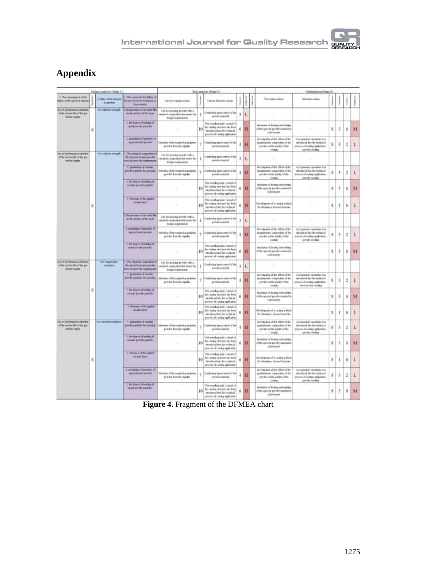

# **Appendix**

| Eather: Applysts (Stage 4)                                                      |                         |                                                  | Rick instrain (Stant 1)                                                                       |                                                                                            |                                                                                                                                   |                                                                                                                                     |                | Optimization (Steep 6) |                                                                                           |                                                                                                                           |                                                                                                                       |              |   |                |              |
|---------------------------------------------------------------------------------|-------------------------|--------------------------------------------------|-----------------------------------------------------------------------------------------------|--------------------------------------------------------------------------------------------|-----------------------------------------------------------------------------------------------------------------------------------|-------------------------------------------------------------------------------------------------------------------------------------|----------------|------------------------|-------------------------------------------------------------------------------------------|---------------------------------------------------------------------------------------------------------------------------|-----------------------------------------------------------------------------------------------------------------------|--------------|---|----------------|--------------|
| 1. The consequence of the<br>failer of the top level shows                      |                         | I Falker of the disease<br><b>b</b> games        | 7. The resson for the fallots of<br>the next lower level cleared at<br><b>flutociaties</b>    | Current waveley polices                                                                    |                                                                                                                                   | Carres detection actions                                                                                                            |                | $\frac{1}{2}$          | ł                                                                                         | Prevention actions                                                                                                        | Detection actions                                                                                                     |              |   |                |              |
| ists of parlomance, robution<br>of the service Mr of the pat-<br>to the course. |                         | low adieses reveals                              | I the presence of an endit film<br>on the conflicts of the lines.                             | Use for success provincents at<br>beautif computies that seem the<br>Aniga requirements    | 1                                                                                                                                 | Coolering input coated of the<br>and der marrelal                                                                                   | 3              | L                      |                                                                                           |                                                                                                                           |                                                                                                                       |              |   |                |              |
|                                                                                 | $\overline{\mathbf{s}}$ |                                                  | 2 the degree of melting of<br>mend preview particles.                                         |                                                                                            | 10                                                                                                                                | The extallegraphic control of<br>the country, structure but been<br>introduced into the technical<br>process of course application  | 6              | H                      |                                                                                           | bacabation of bruiting and millioni<br>of the specied proder material in<br>a relations list.                             | ×                                                                                                                     | 8            | 3 | 6              | M            |
|                                                                                 |                         |                                                  | I grandmen el partido el<br>worstnetslipedar                                                  | Solemius of the noguloril granulation<br>predat from the supplier.                         | ÷                                                                                                                                 | Couloring type cound of the<br>predet material                                                                                      | ă              | H                      |                                                                                           | Investigation of the effect of the<br>grandepoint competition of the<br>pewder on the quality of the<br>painting.         | A preparatory operation was<br>introduced into the technical<br>grecers of contegugalization<br>paneler noother       | 8            | 3 | $\mathfrak{D}$ | L            |
| les of performance reduction<br>of the needer life of the pay<br>satist make    |                         | lew mission strength.                            | 1. The chemical competition of<br>the spraesd incanal pander<br>does not most the requirement | Use for spaceing powder with a<br>benical competitor that meets the<br>design requirements |                                                                                                                                   | Conducting topol counsel of the<br>predet nuovial                                                                                   | x              | L                      |                                                                                           | ٠                                                                                                                         | ×                                                                                                                     |              |   |                |              |
|                                                                                 |                         |                                                  | -1 president of croww<br>peridor particles for speeding                                       | idiretion of the regulard grandation.<br>posite franke siggles                             | ÷                                                                                                                                 | Confecting layer control of the<br>pointer married                                                                                  | 4              | H                      |                                                                                           | lavestgates of the effect of the<br>pracaillenets's: competibles of the<br>pender on for quality of the<br><b>Justice</b> | A preparatory operation was<br>introduced into the technical<br>process of couring application.<br>powing special     | 8            | 3 | 2              | ī.           |
|                                                                                 |                         |                                                  | 1. BA Reprint of molting of<br>cosmic people perides.                                         |                                                                                            | 10                                                                                                                                | The metalling splate control of<br>the costing structure has been<br>introduced into the technical<br>pieces of contra application. | 6              | Ħ                      |                                                                                           | limitation of hosting and melting<br>of the sprayed previder material in<br>si planese per                                |                                                                                                                       | 8            | 3 | 6              | M            |
|                                                                                 | $\dot{\mathbf{z}}$      |                                                  | 1 Innocentral of the agellest<br>recassi laver                                                |                                                                                            | 10                                                                                                                                | The metalligraphic control of<br>the costing structure has been<br>introduced into the technical<br>process of conting application. | 6              | Ħ                      |                                                                                           | Development of a cooting method<br>for shuasing a layered strumen-                                                        |                                                                                                                       | 8            | 1 | 6              | L            |
|                                                                                 |                         |                                                  | 1 the presence of an entire like<br>outhe include of the later.                               | Use for spreting perche with a<br>besical coopration that meets for<br>Aniga maximums      |                                                                                                                                   | Confecting input control of the<br>powder manufall                                                                                  | 3              | L                      |                                                                                           | -                                                                                                                         | $\sim$                                                                                                                |              |   |                |              |
|                                                                                 |                         |                                                  | 2. grandom of partchs of<br>sprayed metal gooder                                              | britation of the organized granitation.<br>prodet from the signifier                       | ÷                                                                                                                                 | Conducting input control of the<br>poster mini-                                                                                     | 4              | H                      |                                                                                           | Investments of the effect of the<br>grandeneteic composition of the<br>perche in the guilty of the<br>instead             | A preparatory operation was<br>introduced into the technical<br>precess of cookie application .<br>panday condice     | 8            | 3 | $\overline{2}$ | L            |
|                                                                                 |                         | 2. the degree of method of<br>med pende pasilei. | ÷                                                                                             | 10 <sup>1</sup>                                                                            | The metallographic control of<br>the insting intuition has been<br>introduced into the technical<br>pricess of costag application | 6                                                                                                                                   | H              |                        | bioadation of brating and collinat<br>of the spoored powder material in<br>a plannes (et) | DOM:                                                                                                                      | 8                                                                                                                     | З            | 6 | M              |              |
| less of performance reduction<br>of the answer life of the pay<br>talies region |                         | <b>San Insura Star</b><br><b>HEARANT</b>         | The chemical compression of<br>the spaced investopment.<br>does not more the requirements     | Use for spreeing powder with a<br>benical competitos that meets the<br>design requirements |                                                                                                                                   | Conducting input counsel of the<br>powder received                                                                                  | $\overline{A}$ | L                      |                                                                                           | s                                                                                                                         | ÷                                                                                                                     |              |   |                |              |
|                                                                                 |                         |                                                  | 1. promission of creators:<br>precios particles for spraying                                  | bitirchies of the required promption<br>perdo inacto supine                                |                                                                                                                                   | Confering topic control of the<br>powder numerial.                                                                                  | $\overline{a}$ | Ħ                      |                                                                                           | lavoragates of the effect of the<br>pranalments composition of the<br>perche on the quility of the                        | A preparatory operation trial<br>introduced into the technical<br>process of cookie application<br>sine prode terding | 8            | 3 | $\overline{z}$ | L            |
|                                                                                 | 8                       |                                                  | 1. the degree of moting of<br>remote productionalist                                          |                                                                                            | 10                                                                                                                                | The metalligraphic control of<br>the cookig strature has been<br>introduced into the technical.<br>process of country application.  | 6              | Ħ                      |                                                                                           | litestation of heating and molting<br>of the sprayed perioder material in<br>is pleased per.                              |                                                                                                                       | 8            | з | 6              | M            |
|                                                                                 |                         |                                                  | 1. Newtone of the applied<br>man lew                                                          |                                                                                            | 10                                                                                                                                | The notalizatatic control of<br>the ceating structure has been<br>istraduced into the tachmical<br>process of cooke application     | 6              | H                      |                                                                                           | Development of a country starbed<br>fix slooking a larged strainer.                                                       | ×                                                                                                                     | $\mathbf{z}$ | 1 | 6              | L            |
| loss af parliamanca induction<br>of the service life of the gas<br>taltes ingée |                         | lev comune restance                              | L'attendaire of cerame<br>prode particles for spreake :                                       | Selection of the required as anticion.<br>preder from the napplier.                        |                                                                                                                                   | Conducting topol control of the<br>position manufall                                                                                | 4              | Ħ                      |                                                                                           | hovenigation of the effect of the<br>grandments computation of the<br>perde so he guity of he<br>crategi                  | A preparatory operation trial<br>introduced into the technical<br>process of coasting application-<br>patchy inside   | 8            | 3 | $\overline{2}$ | L            |
|                                                                                 |                         |                                                  | 1 By depre closing of<br>sonata: percito partidos                                             |                                                                                            | 10                                                                                                                                | the conclapsplat control of<br>the conting renature has been<br>introduced ago the technical<br>process of counting application.    | 6              | Ħ                      |                                                                                           | <b>Berglatian of latating and mobiled</b><br>of the special petrole superights<br>s planna (m.                            |                                                                                                                       | 8            | 3 | ö.             | $\mathbf{M}$ |
|                                                                                 | 8                       |                                                  | 1 learns of the spind<br>stratic last                                                         |                                                                                            | 10                                                                                                                                | The metallographic control of<br>the reason structure has been<br>istudies fate the technical<br>process of couring application     | 6              | H                      |                                                                                           | Detailspaced of a county method<br>for struking a lurered structure                                                       |                                                                                                                       | 8            | 1 | 6              | L            |
|                                                                                 |                         |                                                  | 2. gambion of patchs of<br>special metal gooder                                               | Selection of the coasicol acomulation<br>provincial contributions in provincial            |                                                                                                                                   | y. Costumpigos constalite.<br>porcibe superial.                                                                                     | $\Delta$       | H                      |                                                                                           | Secondarion of the effect of the<br>available this composition of the<br>perde in to pair of the                          | A preparator) operation trust<br>intolated into the technical<br>process of coating application<br>pander seeding     | 8            | 3 | ž              | L            |
|                                                                                 |                         |                                                  | 2. BA Right of outling of<br>med conde patcher.                                               |                                                                                            | 10                                                                                                                                | The metallographic counsel of<br>the coating structure has been<br>ignolared are the technical<br>process of conting application.   | 6              | Ħ                      |                                                                                           | <b>Bandaties of hosting and mebing</b><br>of the approved provider manutud in<br>a plannia jet:                           |                                                                                                                       | 8            | 3 | 6              | M            |

**Figure 4.** Fragment of the DFMEA chart